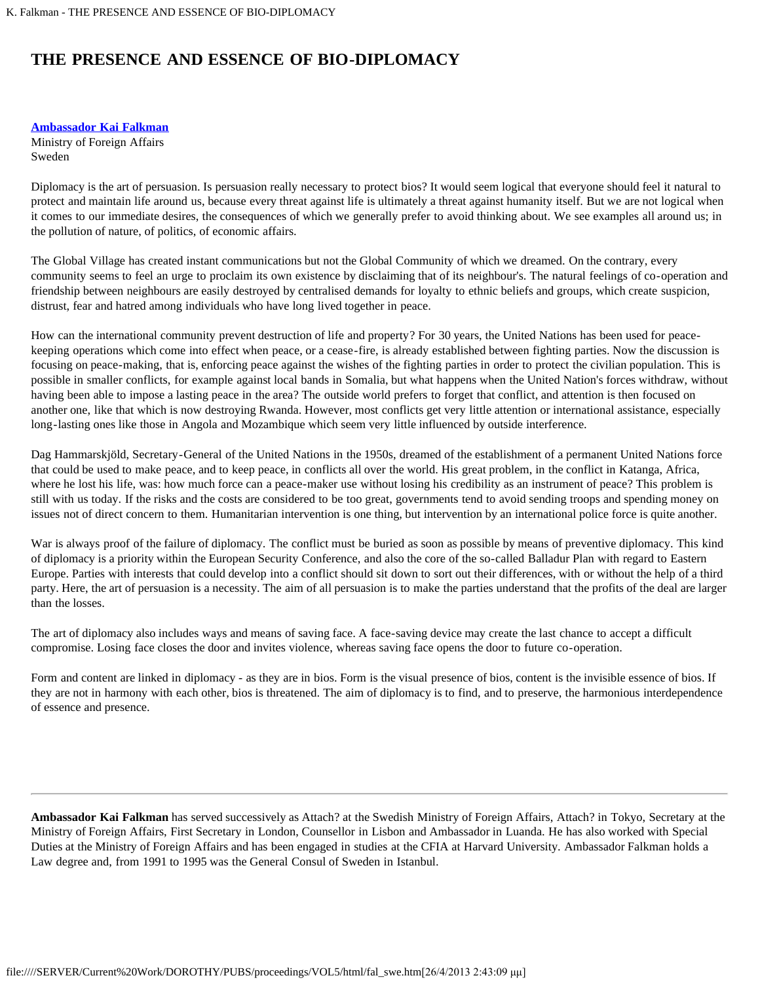## **THE PRESENCE AND ESSENCE OF BIO-DIPLOMACY**

**[Ambassador Kai Falkman](#page-0-0)**

Ministry of Foreign Affairs Sweden

Diplomacy is the art of persuasion. Is persuasion really necessary to protect bios? It would seem logical that everyone should feel it natural to protect and maintain life around us, because every threat against life is ultimately a threat against humanity itself. But we are not logical when it comes to our immediate desires, the consequences of which we generally prefer to avoid thinking about. We see examples all around us; in the pollution of nature, of politics, of economic affairs.

The Global Village has created instant communications but not the Global Community of which we dreamed. On the contrary, every community seems to feel an urge to proclaim its own existence by disclaiming that of its neighbour's. The natural feelings of co-operation and friendship between neighbours are easily destroyed by centralised demands for loyalty to ethnic beliefs and groups, which create suspicion, distrust, fear and hatred among individuals who have long lived together in peace.

How can the international community prevent destruction of life and property? For 30 years, the United Nations has been used for peacekeeping operations which come into effect when peace, or a cease-fire, is already established between fighting parties. Now the discussion is focusing on peace-making, that is, enforcing peace against the wishes of the fighting parties in order to protect the civilian population. This is possible in smaller conflicts, for example against local bands in Somalia, but what happens when the United Nation's forces withdraw, without having been able to impose a lasting peace in the area? The outside world prefers to forget that conflict, and attention is then focused on another one, like that which is now destroying Rwanda. However, most conflicts get very little attention or international assistance, especially long-lasting ones like those in Angola and Mozambique which seem very little influenced by outside interference.

Dag Hammarskjöld, Secretary-General of the United Nations in the 1950s, dreamed of the establishment of a permanent United Nations force that could be used to make peace, and to keep peace, in conflicts all over the world. His great problem, in the conflict in Katanga, Africa, where he lost his life, was: how much force can a peace-maker use without losing his credibility as an instrument of peace? This problem is still with us today. If the risks and the costs are considered to be too great, governments tend to avoid sending troops and spending money on issues not of direct concern to them. Humanitarian intervention is one thing, but intervention by an international police force is quite another.

War is always proof of the failure of diplomacy. The conflict must be buried as soon as possible by means of preventive diplomacy. This kind of diplomacy is a priority within the European Security Conference, and also the core of the so-called Balladur Plan with regard to Eastern Europe. Parties with interests that could develop into a conflict should sit down to sort out their differences, with or without the help of a third party. Here, the art of persuasion is a necessity. The aim of all persuasion is to make the parties understand that the profits of the deal are larger than the losses.

The art of diplomacy also includes ways and means of saving face. A face-saving device may create the last chance to accept a difficult compromise. Losing face closes the door and invites violence, whereas saving face opens the door to future co-operation.

Form and content are linked in diplomacy - as they are in bios. Form is the visual presence of bios, content is the invisible essence of bios. If they are not in harmony with each other, bios is threatened. The aim of diplomacy is to find, and to preserve, the harmonious interdependence of essence and presence.

<span id="page-0-0"></span>**Ambassador Kai Falkman** has served successively as Attach? at the Swedish Ministry of Foreign Affairs, Attach? in Tokyo, Secretary at the Ministry of Foreign Affairs, First Secretary in London, Counsellor in Lisbon and Ambassador in Luanda. He has also worked with Special Duties at the Ministry of Foreign Affairs and has been engaged in studies at the CFIA at Harvard University. Ambassador Falkman holds a Law degree and, from 1991 to 1995 was the General Consul of Sweden in Istanbul.